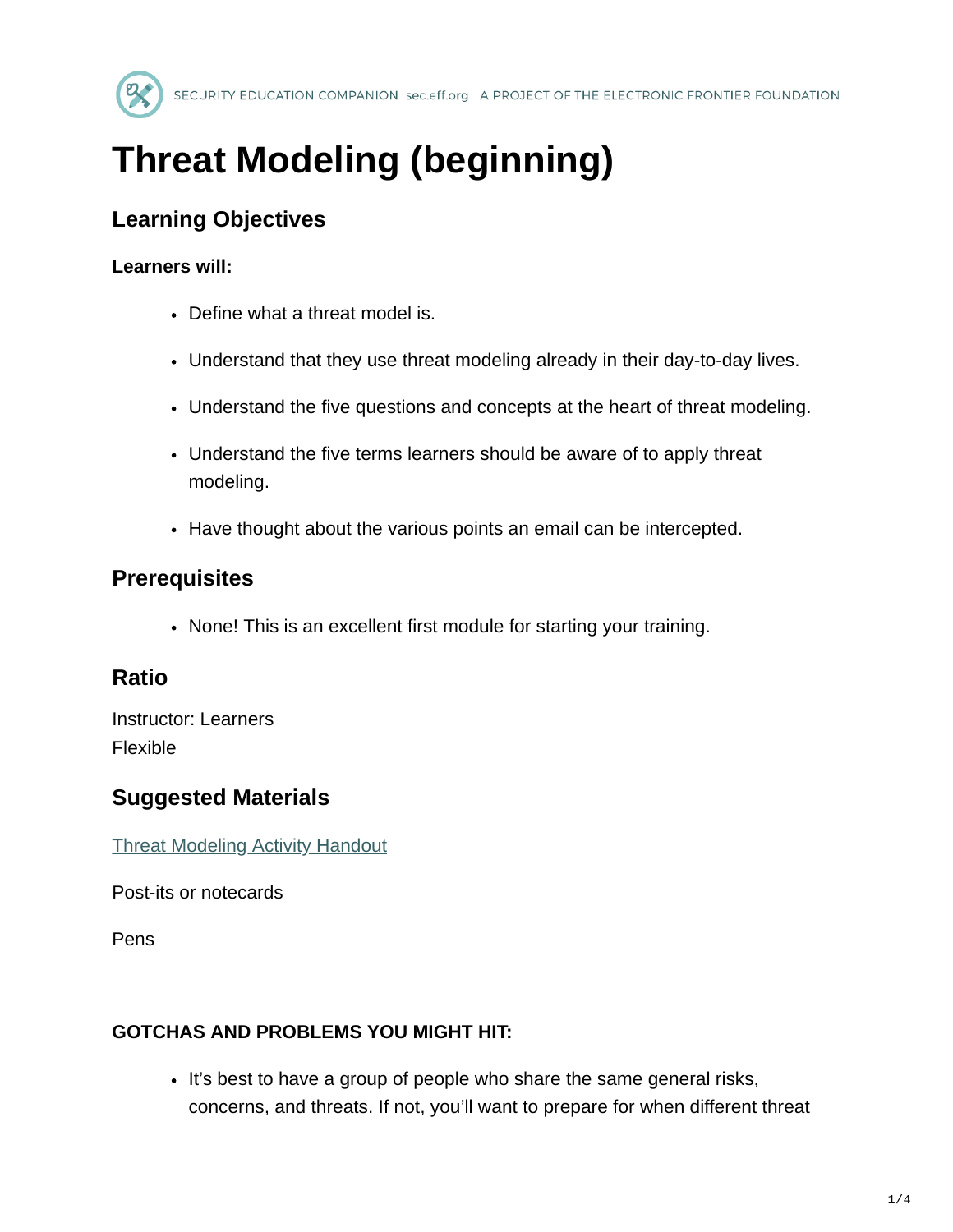

# **Threat Modeling (beginning)**

# **Learning Objectives**

#### **Learners will:**

- Define what a threat model is.
- Understand that they use threat modeling already in their day-to-day lives.
- Understand the five questions and concepts at the heart of threat modeling.
- Understand the five terms learners should be aware of to apply threat modeling.
- Have thought about the various points an email can be intercepted.

# **Prerequisites**

• None! This is an excellent first module for starting your training.

# **Ratio**

Instructor: Learners Flexible

# **Suggested Materials**

[Threat Modeling Activity Handout](https://sec.eff.org/materials/threat-modeling-activity-handout-for-learners)

Post-its or notecards

Pens

#### **GOTCHAS AND PROBLEMS YOU MIGHT HIT:**

It's best to have a group of people who share the same general risks, concerns, and threats. If not, you'll want to prepare for when different threat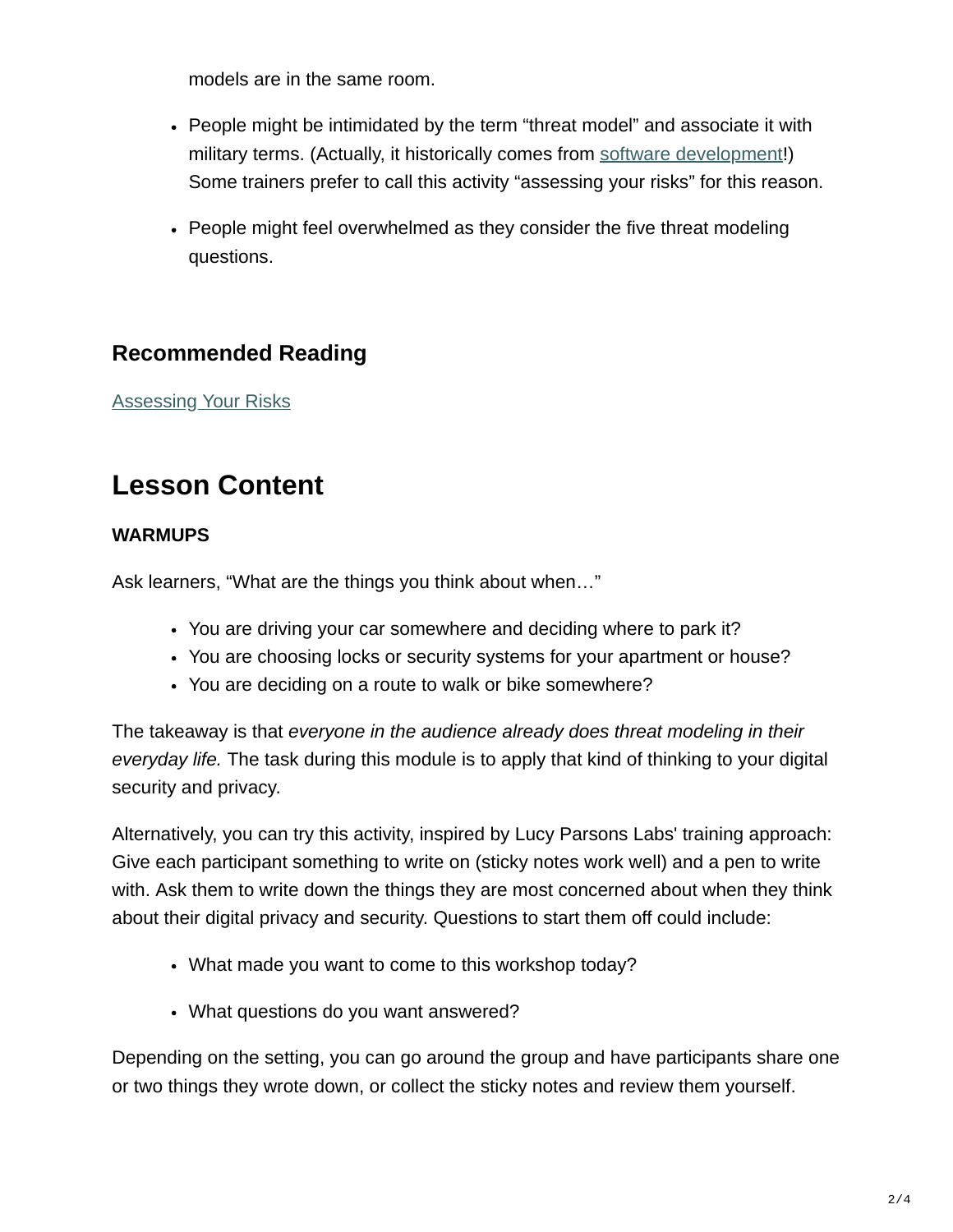models are in the same room.

- People might be intimidated by the term "threat model" and associate it with military terms. (Actually, it historically comes from [software development](https://en.wikipedia.org/wiki/Threat_model#Evolution_of_IT-Based_Threat_Modeling)!) Some trainers prefer to call this activity "assessing your risks" for this reason.
- People might feel overwhelmed as they consider the five threat modeling questions.

# **Recommended Reading**

[Assessing Your Risks](https://ssd.eff.org/en/module/assessing-your-risks)

# **Lesson Content**

#### **WARMUPS**

Ask learners, "What are the things you think about when…"

- You are driving your car somewhere and deciding where to park it?
- You are choosing locks or security systems for your apartment or house?
- You are deciding on a route to walk or bike somewhere?

The takeaway is that *everyone in the audience already does threat modeling in their everyday life.* The task during this module is to apply that kind of thinking to your digital security and privacy.

Alternatively, you can try this activity, inspired by Lucy Parsons Labs' training approach: Give each participant something to write on (sticky notes work well) and a pen to write with. Ask them to write down the things they are most concerned about when they think about their digital privacy and security. Questions to start them off could include:

- What made you want to come to this workshop today?
- What questions do you want answered?

Depending on the setting, you can go around the group and have participants share one or two things they wrote down, or collect the sticky notes and review them yourself.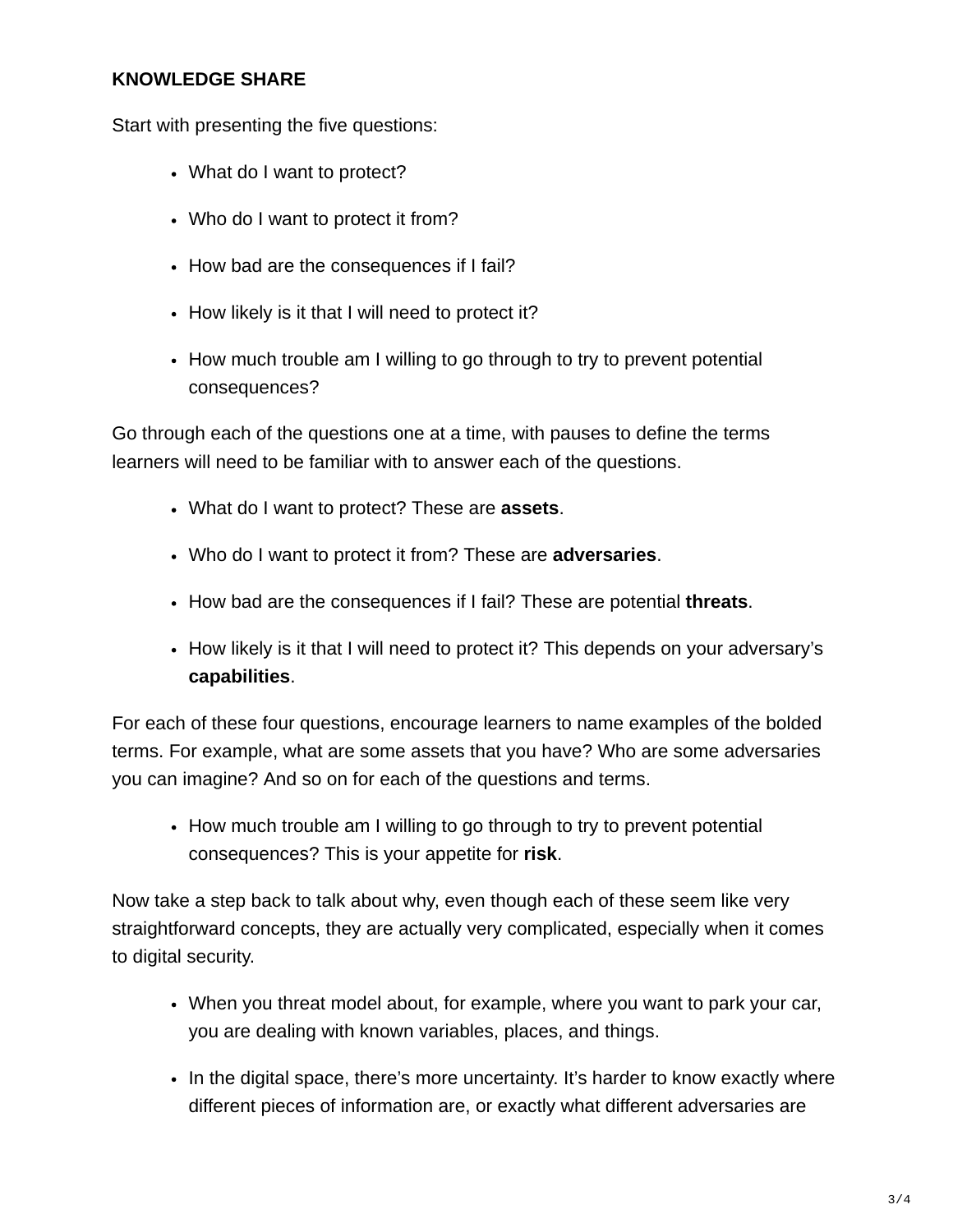#### **KNOWLEDGE SHARE**

Start with presenting the five questions:

- What do I want to protect?
- Who do I want to protect it from?
- How bad are the consequences if I fail?
- How likely is it that I will need to protect it?
- How much trouble am I willing to go through to try to prevent potential consequences?

Go through each of the questions one at a time, with pauses to define the terms learners will need to be familiar with to answer each of the questions.

- What do I want to protect? These are **assets**.
- Who do I want to protect it from? These are **adversaries**.
- How bad are the consequences if I fail? These are potential **threats**.
- How likely is it that I will need to protect it? This depends on your adversary's **capabilities**.

For each of these four questions, encourage learners to name examples of the bolded terms. For example, what are some assets that you have? Who are some adversaries you can imagine? And so on for each of the questions and terms.

• How much trouble am I willing to go through to try to prevent potential consequences? This is your appetite for **risk**.

Now take a step back to talk about why, even though each of these seem like very straightforward concepts, they are actually very complicated, especially when it comes to digital security.

- When you threat model about, for example, where you want to park your car, you are dealing with known variables, places, and things.
- In the digital space, there's more uncertainty. It's harder to know exactly where different pieces of information are, or exactly what different adversaries are